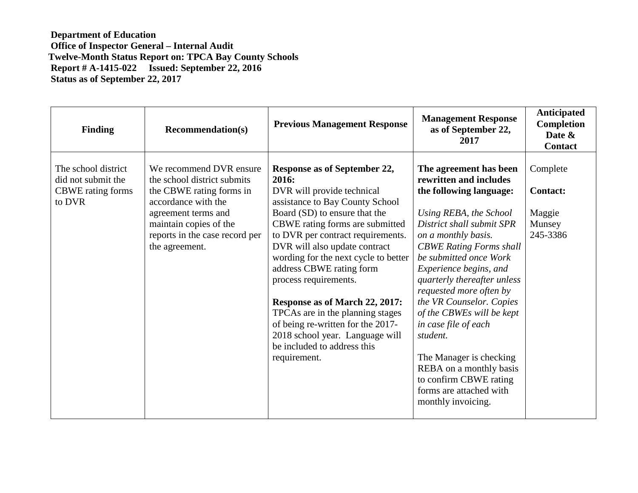**Department of Education Office of Inspector General – Internal Audit Twelve-Month Status Report on: TPCA Bay County Schools Report # A-1415-022 Issued: September 22, 2016 Status as of September 22, 2017** 

| <b>Finding</b>                                                                  | <b>Recommendation(s)</b>                                                                                                                                                                                       | <b>Previous Management Response</b>                                                                                                                                                                                                                                                                                                                                                                                                                                                                                                        | <b>Management Response</b><br>as of September 22,<br>2017                                                                                                                                                                                                                                                                                                                                                                                                                                                                               | <b>Anticipated</b><br><b>Completion</b><br>Date &<br><b>Contact</b> |
|---------------------------------------------------------------------------------|----------------------------------------------------------------------------------------------------------------------------------------------------------------------------------------------------------------|--------------------------------------------------------------------------------------------------------------------------------------------------------------------------------------------------------------------------------------------------------------------------------------------------------------------------------------------------------------------------------------------------------------------------------------------------------------------------------------------------------------------------------------------|-----------------------------------------------------------------------------------------------------------------------------------------------------------------------------------------------------------------------------------------------------------------------------------------------------------------------------------------------------------------------------------------------------------------------------------------------------------------------------------------------------------------------------------------|---------------------------------------------------------------------|
| The school district<br>did not submit the<br><b>CBWE</b> rating forms<br>to DVR | We recommend DVR ensure<br>the school district submits<br>the CBWE rating forms in<br>accordance with the<br>agreement terms and<br>maintain copies of the<br>reports in the case record per<br>the agreement. | Response as of September 22,<br>2016:<br>DVR will provide technical<br>assistance to Bay County School<br>Board (SD) to ensure that the<br>CBWE rating forms are submitted<br>to DVR per contract requirements.<br>DVR will also update contract<br>wording for the next cycle to better<br>address CBWE rating form<br>process requirements.<br>Response as of March 22, 2017:<br>TPCAs are in the planning stages<br>of being re-written for the 2017-<br>2018 school year. Language will<br>be included to address this<br>requirement. | The agreement has been<br>rewritten and includes<br>the following language:<br>Using REBA, the School<br>District shall submit SPR<br>on a monthly basis.<br><b>CBWE Rating Forms shall</b><br>be submitted once Work<br>Experience begins, and<br>quarterly thereafter unless<br>requested more often by<br>the VR Counselor. Copies<br>of the CBWEs will be kept<br>in case file of each<br>student.<br>The Manager is checking<br>REBA on a monthly basis<br>to confirm CBWE rating<br>forms are attached with<br>monthly invoicing. | Complete<br><b>Contact:</b><br>Maggie<br>Munsey<br>245-3386         |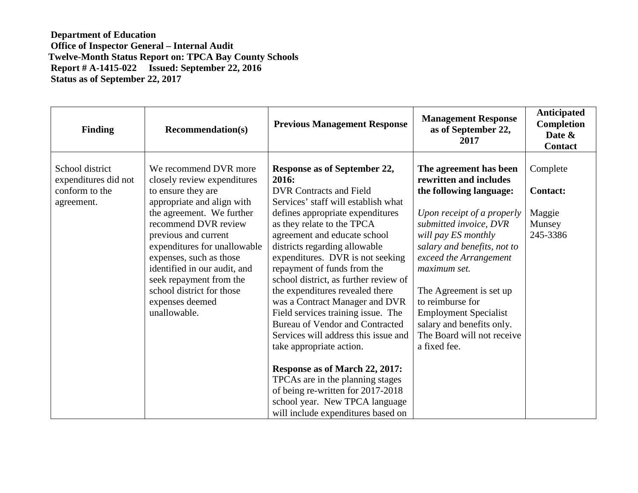**Department of Education Office of Inspector General – Internal Audit Twelve-Month Status Report on: TPCA Bay County Schools Report # A-1415-022 Issued: September 22, 2016 Status as of September 22, 2017** 

| <b>Finding</b>                                                          | <b>Recommendation(s)</b>                                                                                                                                                                                                                                                                                                                                                    | <b>Previous Management Response</b>                                                                                                                                                                                                                                                                                                                                                                                                                                                                                                                               | <b>Management Response</b><br>as of September 22,<br>2017                                                                                                                                                                                                                                                                                                                     | Anticipated<br>Completion<br>Date &<br><b>Contact</b>       |
|-------------------------------------------------------------------------|-----------------------------------------------------------------------------------------------------------------------------------------------------------------------------------------------------------------------------------------------------------------------------------------------------------------------------------------------------------------------------|-------------------------------------------------------------------------------------------------------------------------------------------------------------------------------------------------------------------------------------------------------------------------------------------------------------------------------------------------------------------------------------------------------------------------------------------------------------------------------------------------------------------------------------------------------------------|-------------------------------------------------------------------------------------------------------------------------------------------------------------------------------------------------------------------------------------------------------------------------------------------------------------------------------------------------------------------------------|-------------------------------------------------------------|
| School district<br>expenditures did not<br>conform to the<br>agreement. | We recommend DVR more<br>closely review expenditures<br>to ensure they are<br>appropriate and align with<br>the agreement. We further<br>recommend DVR review<br>previous and current<br>expenditures for unallowable<br>expenses, such as those<br>identified in our audit, and<br>seek repayment from the<br>school district for those<br>expenses deemed<br>unallowable. | <b>Response as of September 22,</b><br>2016:<br><b>DVR Contracts and Field</b><br>Services' staff will establish what<br>defines appropriate expenditures<br>as they relate to the TPCA<br>agreement and educate school<br>districts regarding allowable<br>expenditures. DVR is not seeking<br>repayment of funds from the<br>school district, as further review of<br>the expenditures revealed there<br>was a Contract Manager and DVR<br>Field services training issue. The<br><b>Bureau of Vendor and Contracted</b><br>Services will address this issue and | The agreement has been<br>rewritten and includes<br>the following language:<br>Upon receipt of a properly<br>submitted invoice, DVR<br>will pay ES monthly<br>salary and benefits, not to<br>exceed the Arrangement<br>maximum set.<br>The Agreement is set up<br>to reimburse for<br><b>Employment Specialist</b><br>salary and benefits only.<br>The Board will not receive | Complete<br><b>Contact:</b><br>Maggie<br>Munsey<br>245-3386 |
|                                                                         |                                                                                                                                                                                                                                                                                                                                                                             | take appropriate action.<br>Response as of March 22, 2017:<br>TPCAs are in the planning stages<br>of being re-written for 2017-2018<br>school year. New TPCA language<br>will include expenditures based on                                                                                                                                                                                                                                                                                                                                                       | a fixed fee.                                                                                                                                                                                                                                                                                                                                                                  |                                                             |